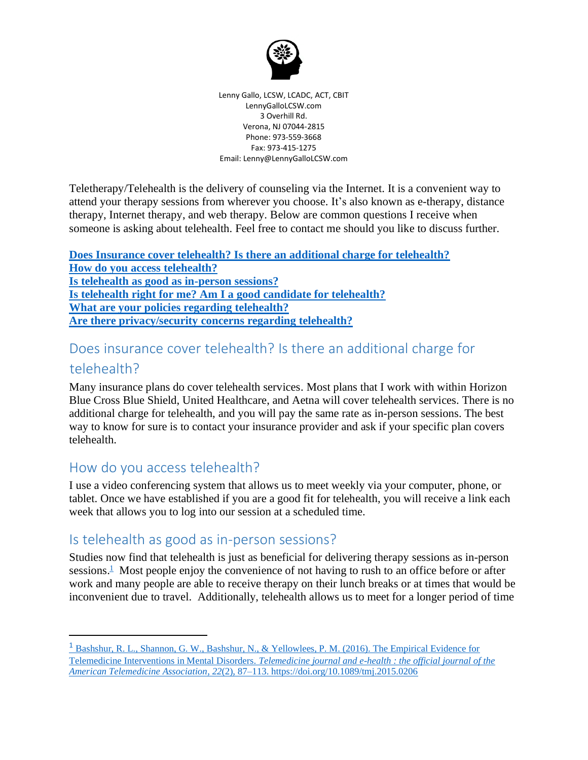

Lenny Gallo, LCSW, LCADC, ACT, CBIT LennyGalloLCSW.com 3 Overhill Rd. Verona, NJ 07044-2815 Phone: 973-559-3668 Fax: 973-415-1275 Email: Lenny@LennyGalloLCSW.com

Teletherapy/Telehealth is the delivery of counseling via the Internet. It is a convenient way to attend your therapy sessions from wherever you choose. It's also known as e-therapy, distance therapy, Internet therapy, and web therapy. Below are common questions I receive when someone is asking about telehealth. Feel free to contact me should you like to discuss further.

**[Does Insurance cover telehealth? Is there an additional charge for telehealth?](#page-0-0) [How do you access telehealth?](#page-0-1) [Is telehealth as good as in-person sessions?](#page-0-2) [Is telehealth right for me? Am I a good candidate for telehealth?](#page-1-0) [What are your policies regarding telehealth?](#page-1-1) Are there [privacy/security concerns regarding telehealth?](#page-1-2)**

# <span id="page-0-0"></span>Does insurance cover telehealth? Is there an additional charge for

#### telehealth?

Many insurance plans do cover telehealth services. Most plans that I work with within Horizon Blue Cross Blue Shield, United Healthcare, and Aetna will cover telehealth services. There is no additional charge for telehealth, and you will pay the same rate as in-person sessions. The best way to know for sure is to contact your insurance provider and ask if your specific plan covers telehealth.

## <span id="page-0-1"></span>How do you access telehealth?

I use a video conferencing system that allows us to meet weekly via your computer, phone, or tablet. Once we have established if you are a good fit for telehealth, you will receive a link each week that allows you to log into our session at a scheduled time.

# <span id="page-0-2"></span>Is telehealth as good as in-person sessions?

Studies now find that telehealth is just as beneficial for delivering therapy sessions as in-person sessions.<sup>[1](https://www.ncbi.nlm.nih.gov/pmc/articles/PMC4744872/)</sup> Most people enjoy the convenience of not having to rush to an office before or after work and many people are able to receive therapy on their lunch breaks or at times that would be inconvenient due to travel. Additionally, telehealth allows us to meet for a longer period of time

<sup>&</sup>lt;sup>1</sup> Bashshur, R. L., Shannon, G. W., Bashshur, N., & Yellowlees, P. M. (2016). The Empirical Evidence for Telemedicine Interventions in Mental Disorders. *[Telemedicine journal and e-health : the official journal of the](https://www.ncbi.nlm.nih.gov/pmc/articles/PMC4744872/)  American Telemedicine Association*, *22*[\(2\), 87–113. https://doi.org/10.1089/tmj.2015.0206](https://www.ncbi.nlm.nih.gov/pmc/articles/PMC4744872/)